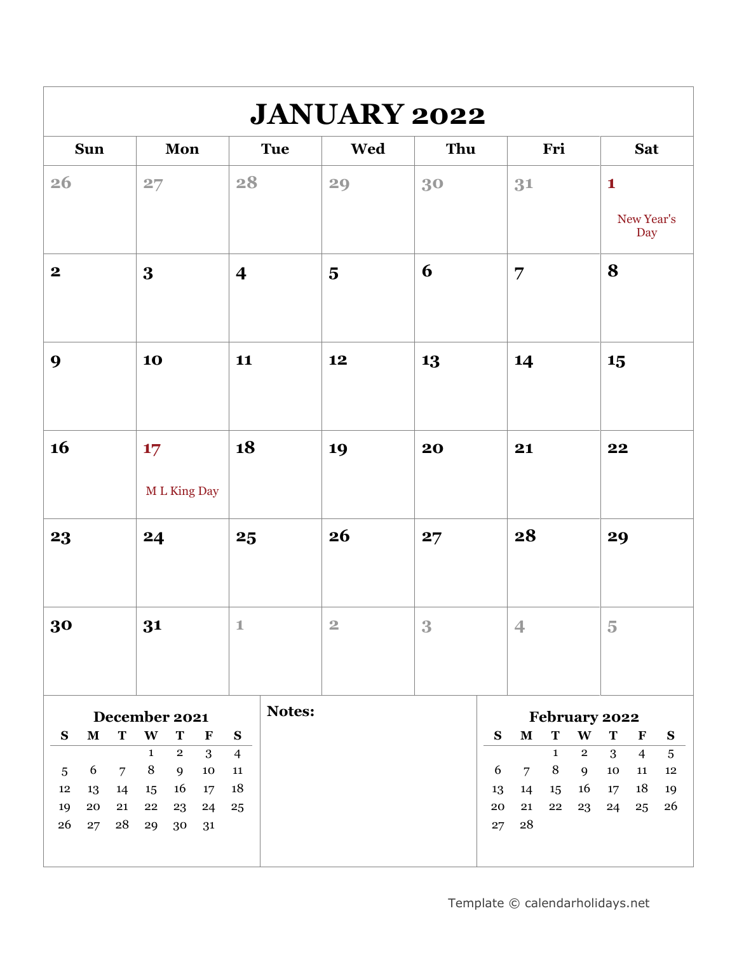| <b>JANUARY 2022</b>                                                                                     |                                                                                                                    |                                          |                         |     |                     |                                  |                                            |                                 |                     |                                  |                                         |  |  |
|---------------------------------------------------------------------------------------------------------|--------------------------------------------------------------------------------------------------------------------|------------------------------------------|-------------------------|-----|---------------------|----------------------------------|--------------------------------------------|---------------------------------|---------------------|----------------------------------|-----------------------------------------|--|--|
| <b>Sun</b>                                                                                              | Mon                                                                                                                | <b>Tue</b>                               | <b>Wed</b>              | Thu |                     |                                  | Fri                                        |                                 |                     | <b>Sat</b>                       |                                         |  |  |
| 26                                                                                                      | 27                                                                                                                 | 28                                       | 29                      | 30  |                     | 31                               |                                            |                                 | $\mathbf{1}$        | New Year's<br>Day                |                                         |  |  |
| $\boldsymbol{2}$                                                                                        | 3                                                                                                                  | $\overline{\mathbf{4}}$                  | $\overline{\mathbf{5}}$ | 6   |                     | 7                                |                                            |                                 | 8                   |                                  |                                         |  |  |
| 9                                                                                                       | 10                                                                                                                 | 11                                       | 12                      | 13  |                     | 14                               |                                            |                                 | 15                  |                                  |                                         |  |  |
| 16                                                                                                      | 17<br>M L King Day                                                                                                 | 18                                       | 19                      | 20  |                     | 21                               |                                            |                                 | 22                  |                                  |                                         |  |  |
| 23                                                                                                      | 24                                                                                                                 | 25                                       | 26                      | 27  |                     | 28                               |                                            |                                 | 29                  |                                  |                                         |  |  |
| 30                                                                                                      | 31                                                                                                                 |                                          | $\overline{2}$          | 3   |                     | $\overline{4}$                   |                                            |                                 | $\overline{5}$      |                                  |                                         |  |  |
| $\mathbf M$<br>T<br>S                                                                                   | December 2021<br>$\mathbf{W}$<br>$\mathbf T$<br>$\mathbf F$                                                        | Notes:<br>$\mathbf{s}$                   |                         |     | $\mathbf{s}$        | $\mathbf M$                      | $\mathbf T$                                | February 2022<br>$\mathbf{W}$   | $\mathbf T$         | $\mathbf F$                      | ${\bf S}$                               |  |  |
| 6<br>$\overline{7}$<br>$\overline{5}$<br>$12\,$<br>13<br>14<br>${\bf 20}$<br>21<br>19<br>26<br>28<br>27 | 3<br>$\overline{2}$<br>$\mathbf{1}$<br>$\, 8$<br>9<br>$10\,$<br>16<br>17<br>15<br>22<br>23<br>24<br>29<br>30<br>31 | $\overline{4}$<br>${\bf 11}$<br>18<br>25 |                         |     | 6<br>13<br>20<br>27 | $\overline{7}$<br>14<br>21<br>28 | $\mathbf{1}$<br>$\, 8$<br>$15\,$<br>$22\,$ | $\overline{2}$<br>9<br>16<br>23 | 3<br>10<br>17<br>24 | $\overline{4}$<br>11<br>18<br>25 | $\overline{5}$<br>$\bf{12}$<br>19<br>26 |  |  |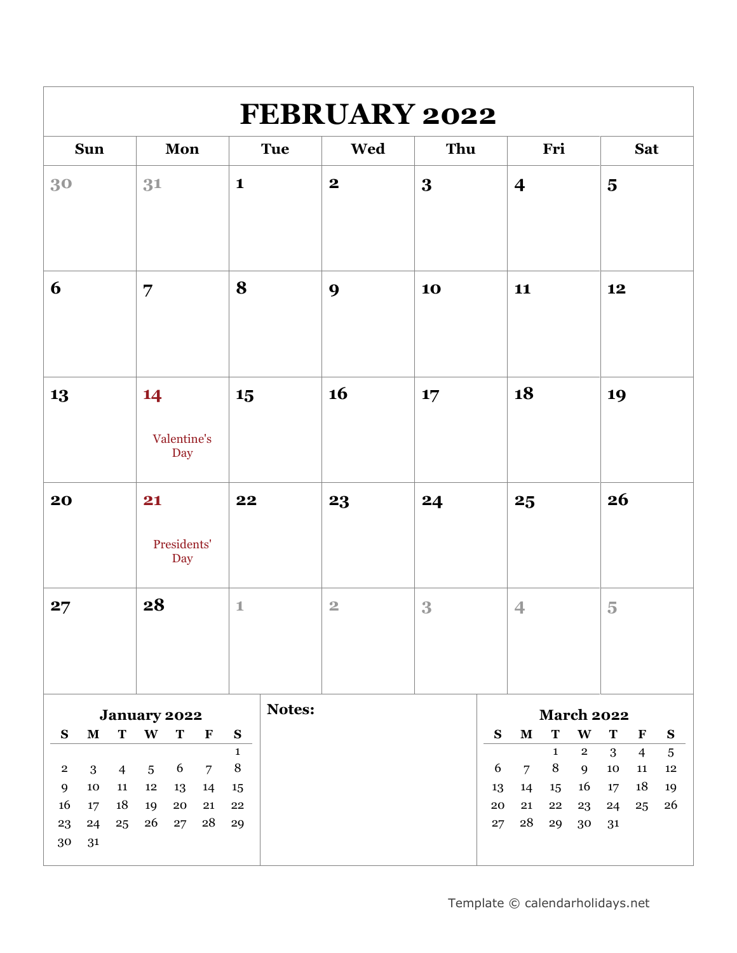| <b>FEBRUARY 2022</b>                           |                                       |                         |                |          |              |                                     |                     |                         |                                          |  |  |  |  |
|------------------------------------------------|---------------------------------------|-------------------------|----------------|----------|--------------|-------------------------------------|---------------------|-------------------------|------------------------------------------|--|--|--|--|
| <b>Sun</b>                                     | Mon                                   | <b>Tue</b>              | <b>Wed</b>     | Thu      |              | Fri                                 |                     |                         | <b>Sat</b>                               |  |  |  |  |
| 30                                             | 31                                    | $\mathbf{1}$            | $\mathbf{2}$   | $\bf{3}$ |              | $\boldsymbol{4}$                    |                     | $\overline{\mathbf{5}}$ |                                          |  |  |  |  |
| 6                                              | 7                                     | 8                       | 9              | 10       |              | 11                                  |                     | 12                      |                                          |  |  |  |  |
| 13                                             | 14<br>Valentine's<br>Day              | 15                      | 16             | 17       |              | 18                                  |                     | 19                      |                                          |  |  |  |  |
| 20                                             | 21<br>Presidents'<br>Day              | 22                      | 23             | 24       |              | 25                                  |                     | 26                      |                                          |  |  |  |  |
| 27                                             | 28                                    | $1\,$                   | $\overline{2}$ | 3        |              | $\overline{4}$                      |                     | $\overline{5}$          |                                          |  |  |  |  |
|                                                | <b>January 2022</b>                   | Notes:                  |                |          |              |                                     |                     | <b>March 2022</b>       |                                          |  |  |  |  |
| $\mathbf S$<br>$\mathbf T$<br>$\mathbf M$      | W<br>$\mathbf T$<br>$\mathbf F$       | ${\bf S}$               |                |          | $\mathbf{s}$ | $\mathbf T$<br>$\mathbf M$          | W                   | T                       | $\mathbf F$<br>${\bf S}$                 |  |  |  |  |
| $\overline{4}$<br>$\mathbf{2}$<br>$\mathbf{3}$ | 6<br>$\overline{5}$<br>$\overline{7}$ | $\mathbf{1}$<br>$\,8\,$ |                |          | 6            | $\mathbf{1}$<br>8<br>$\overline{7}$ | $\overline{2}$<br>9 | $\mathbf{3}$<br>10      | $\overline{4}$<br>$\sqrt{5}$<br>11<br>12 |  |  |  |  |
| $10\,$<br>9<br>11                              | $12\,$<br>13<br>14                    | 15                      |                |          | 13           | 14<br>15 <sub>15</sub>              | 16                  | 17                      | 18<br>19                                 |  |  |  |  |
| 18<br>16<br>17                                 | 19<br>${\bf 20}$<br>21                | ${\bf 22}$              |                |          | 20           | 21<br>22                            | 23                  | 24                      | 25<br>26                                 |  |  |  |  |
| 23<br>24<br>25<br>30<br>31                     | 26<br>28<br>27                        | 29                      |                |          | 27           | 28<br>29                            | 30                  | 31                      |                                          |  |  |  |  |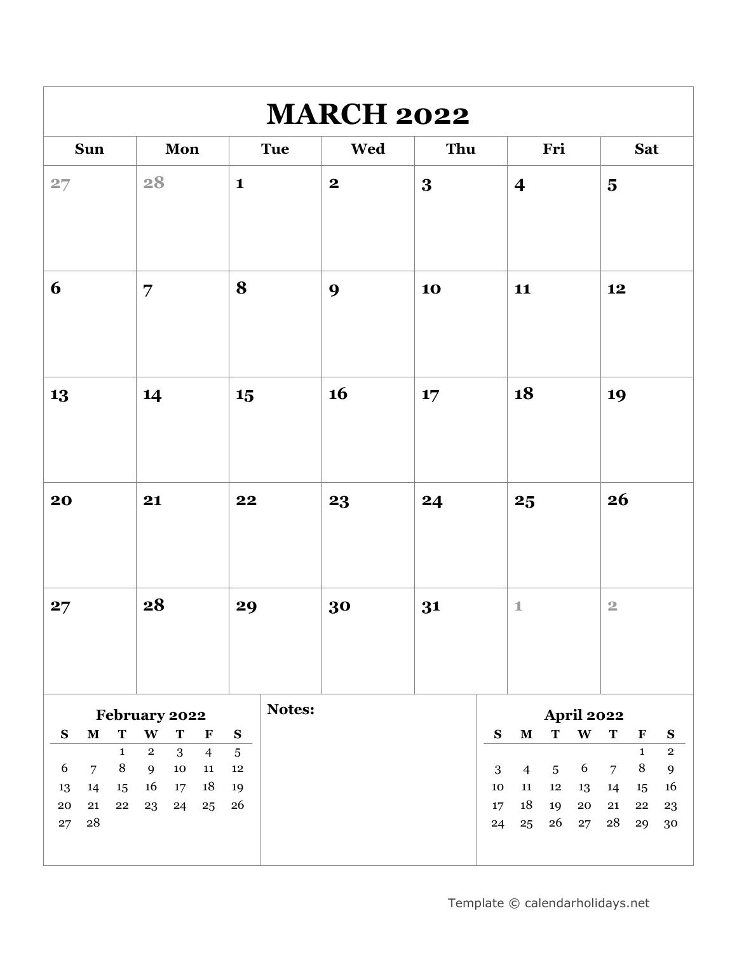| <b>MARCH 2022</b>                                            |                                                            |                      |              |          |           |                  |                 |                   |                         |                        |                                    |  |  |
|--------------------------------------------------------------|------------------------------------------------------------|----------------------|--------------|----------|-----------|------------------|-----------------|-------------------|-------------------------|------------------------|------------------------------------|--|--|
| <b>Sun</b>                                                   | Mon                                                        | <b>Tue</b>           | Wed          | Thu      |           |                  | Fri             |                   |                         | <b>Sat</b>             |                                    |  |  |
| 27                                                           | 28                                                         | $\mathbf{1}$         | $\mathbf{2}$ | $\bf{3}$ |           | $\boldsymbol{4}$ |                 |                   | $\overline{\mathbf{5}}$ |                        |                                    |  |  |
| 6                                                            | $\overline{7}$                                             | 8                    | 9            | 10       |           | 11               |                 |                   | 12                      |                        |                                    |  |  |
| 13                                                           | 14                                                         | 15                   | 16           | 17       |           | 18               |                 |                   | 19                      |                        |                                    |  |  |
| 20                                                           | 21                                                         | 22                   | 23           | 24       |           | 25               |                 |                   | 26                      |                        |                                    |  |  |
| 27                                                           | 28                                                         | 29                   | 30           | 31       |           | $\mathbbm{1}$    |                 |                   | $\overline{2}$          |                        |                                    |  |  |
|                                                              | February 2022                                              | Notes:               |              |          |           |                  |                 | <b>April 2022</b> |                         |                        |                                    |  |  |
| ${\bf S}$<br>$\mathbf M$<br>$\mathbf T$                      | $\mathbf W$<br>$\mathbf T$<br>$\mathbf F$                  | ${\bf S}$            |              |          | ${\bf S}$ | $\mathbf M$      | $\mathbf T$     | $\mathbf{W}$      | $\mathbf T$             | $\mathbf F$            | ${\bf S}$                          |  |  |
| $\mathbf{1}$<br>$\, 8$<br>$\boldsymbol{6}$<br>$\overline{7}$ | 3<br>$\overline{2}$<br>$\overline{4}$<br>$10\,$<br>9<br>11 | $\sqrt{5}$<br>$12\,$ |              |          | 3         | $\overline{4}$   | $5\phantom{.0}$ | 6                 | $\overline{7}$          | $\mathbf{1}$<br>$\, 8$ | $\overline{2}$<br>$\boldsymbol{9}$ |  |  |
| 14<br>13<br>15                                               | 16<br>18<br>17                                             | 19                   |              |          | 10        | ${\bf 11}$       | $12\,$          | 13                | 14                      | 15                     | 16                                 |  |  |
| 21<br>${\bf 22}$<br>20                                       | 23<br>24<br>25                                             | 26                   |              |          | 17        | 18               | 19              | ${\bf 20}$        | 21                      | $22\,$                 | $\bf{^{23}}$                       |  |  |
| 28<br>27                                                     |                                                            |                      |              |          | 24        | 25               | 26              | 27                | 28                      | 29                     | $30\,$                             |  |  |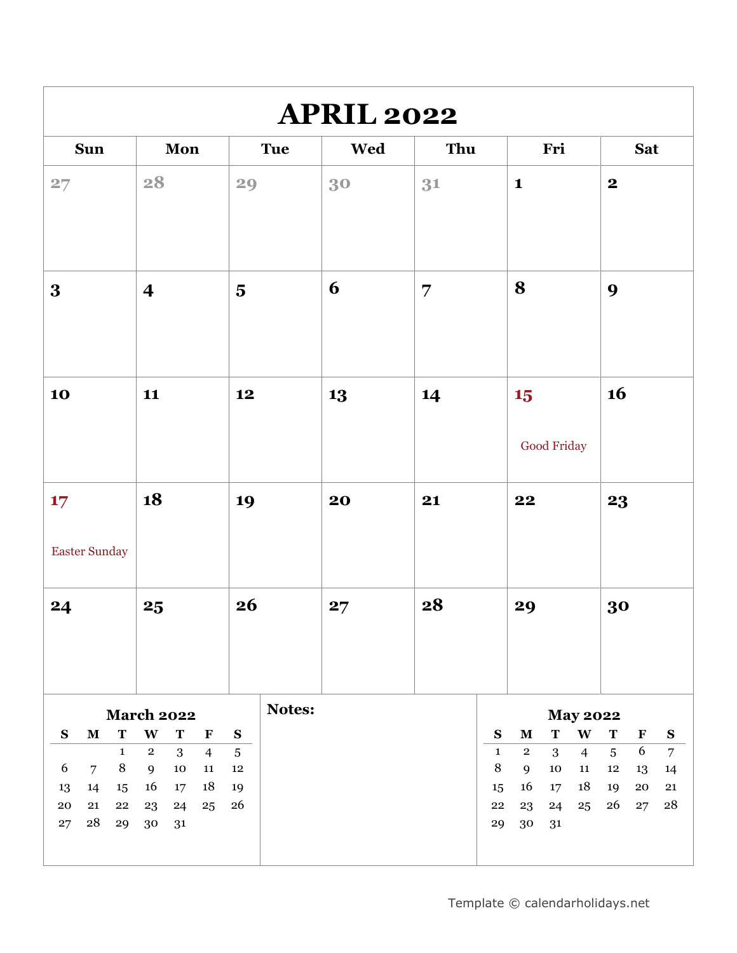| <b>APRIL 2022</b>                                                  |                                                         |                         |            |                |                           |                              |                |                                |                                |                  |                             |  |  |
|--------------------------------------------------------------------|---------------------------------------------------------|-------------------------|------------|----------------|---------------------------|------------------------------|----------------|--------------------------------|--------------------------------|------------------|-----------------------------|--|--|
| <b>Sun</b>                                                         | Mon                                                     | <b>Tue</b>              | <b>Wed</b> | Thu            |                           |                              | Fri            |                                |                                | <b>Sat</b>       |                             |  |  |
| 27                                                                 | 28                                                      | 29                      | 30         | 31             |                           | $\mathbf{1}$                 |                |                                | $\mathbf 2$                    |                  |                             |  |  |
| $\bf{3}$                                                           | $\overline{\mathbf{4}}$                                 | $\overline{\mathbf{5}}$ | 6          | $\overline{7}$ |                           | 8                            |                |                                | 9                              |                  |                             |  |  |
| 10                                                                 | 11                                                      | 12                      | 13         | 14             |                           | 15                           | Good Friday    |                                | 16                             |                  |                             |  |  |
| 17<br><b>Easter Sunday</b>                                         | 18                                                      | 19                      | 20         | 21             |                           | 22                           |                |                                | 23                             |                  |                             |  |  |
| 24                                                                 | 25                                                      | 26                      | 27         | 28             | 29                        |                              |                |                                | 30                             |                  |                             |  |  |
|                                                                    | <b>March 2022</b>                                       | Notes:                  |            |                |                           |                              |                | <b>May 2022</b>                |                                |                  |                             |  |  |
| S<br>$\mathbf M$<br>T<br>$\mathbf{1}$                              | $\mathbf{W}$<br>T<br>$\mathbf F$<br>3<br>$\overline{2}$ | ${\bf S}$               |            |                | ${\bf S}$<br>$\mathbf{1}$ | $\mathbf{M}$<br>$\mathbf{2}$ | ${\bf T}$<br>3 | $\mathbf{W}$<br>$\overline{4}$ | $\mathbf T$<br>$5\overline{)}$ | $\mathbf F$<br>6 | ${\bf S}$<br>$\overline{7}$ |  |  |
| $\, 8$<br>6<br>$\overline{7}$                                      | $\overline{4}$<br>9<br>$10\,$<br>11                     | $\sqrt{5}$<br>$12\,$    |            |                | $\, 8$                    | 9                            | $10\,$         | 11                             | $12\,$                         | 13               | 14                          |  |  |
| 14<br>13<br>15<br>21<br>${\bf 22}$<br>20<br>${\bf 28}$<br>27<br>29 | 18<br>16<br>17<br>23<br>25<br>24<br>30<br>31            | 19<br>26                |            |                | 15<br>${\bf 22}$<br>29    | 16<br>23<br>30               | 17<br>24<br>31 | 18<br>25                       | 19<br>26                       | 20<br>27         | ${\bf 21}$<br>28            |  |  |
|                                                                    |                                                         |                         |            |                |                           |                              |                |                                |                                |                  |                             |  |  |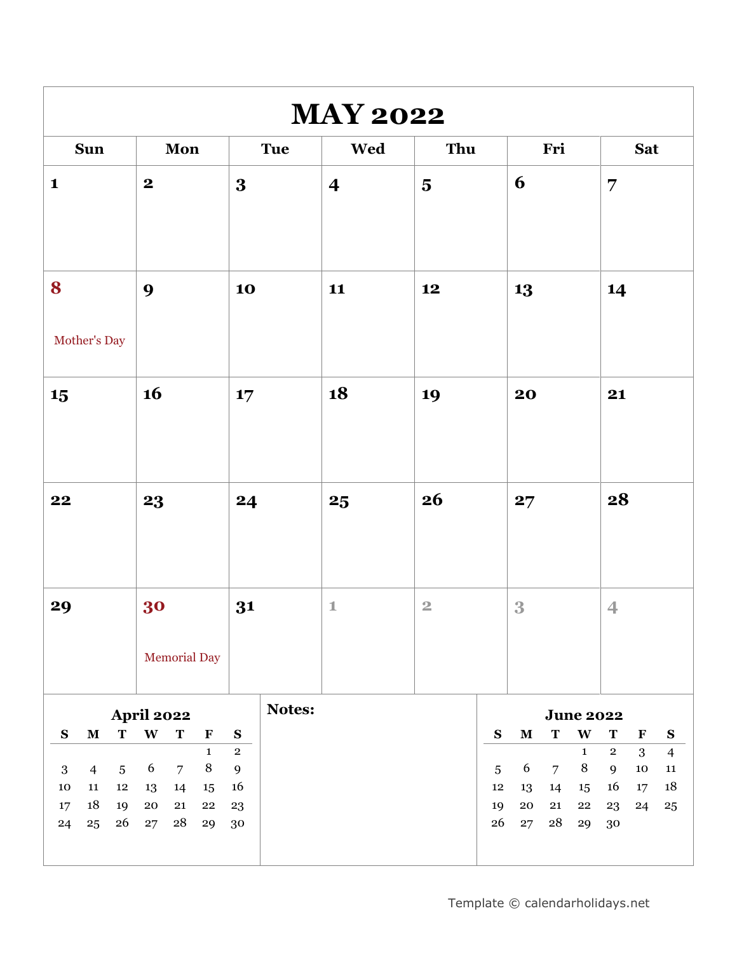| <b>MAY 2022</b>                                 |                                                           |                           |                         |                         |           |                  |                |                  |                            |                  |                              |  |  |
|-------------------------------------------------|-----------------------------------------------------------|---------------------------|-------------------------|-------------------------|-----------|------------------|----------------|------------------|----------------------------|------------------|------------------------------|--|--|
| <b>Sun</b>                                      | Mon                                                       | <b>Tue</b>                | Wed                     | Thu                     |           |                  | Fri            |                  |                            | <b>Sat</b>       |                              |  |  |
| $\mathbf{1}$                                    | $\boldsymbol{2}$                                          | $\bf{3}$                  | $\overline{\mathbf{4}}$ | $\overline{\mathbf{5}}$ |           | 6                |                |                  | $\overline{7}$             |                  |                              |  |  |
| 8<br>Mother's Day                               | 9                                                         | 10                        | 11                      | 12                      |           | 13               |                |                  | 14                         |                  |                              |  |  |
| 15                                              | 16                                                        | 17                        | 18                      | 19                      |           | 20               |                |                  | 21                         |                  |                              |  |  |
| 22                                              | 23                                                        | 24                        | 25                      | 26                      |           | 27               |                |                  | 28                         |                  |                              |  |  |
| 29                                              | 30<br><b>Memorial Day</b>                                 | 31                        | $\mathbbm{1}$           | $\overline{2}$          |           | 3                |                |                  | $\overline{4}$             |                  |                              |  |  |
|                                                 | <b>April 2022</b>                                         | Notes:                    |                         |                         |           |                  |                | <b>June 2022</b> |                            |                  |                              |  |  |
| $\mathbf T$<br>${\bf S}$<br>$\mathbf M$         | $\mathbf{W}$<br>$\mathbf T$<br>$\mathbf F$<br>$\mathbf 1$ | ${\bf S}$<br>$\mathbf{2}$ |                         |                         | ${\bf S}$ | $\mathbf M$      | $\mathbf T$    | W<br>$\mathbf 1$ | $\mathbf T$<br>$\mathbf 2$ | $\mathbf F$<br>3 | ${\bf S}$                    |  |  |
| $5\phantom{.0}$<br>$\overline{4}$<br>$\sqrt{3}$ | $\,8\,$<br>6<br>$\overline{7}$                            | $\boldsymbol{9}$          |                         |                         | 5         | 6                | $\overline{7}$ | $\, 8$           | 9                          | $10\,$           | $\overline{4}$<br>${\bf 11}$ |  |  |
| $12\,$<br>${\bf 11}$<br>10                      | 13<br>14<br>15                                            | 16                        |                         |                         | 12        | 13               | 14             | 15               | 16                         | 17               | 18                           |  |  |
| 18<br>19<br>$17\,$<br>26<br>25<br>24            | ${\bf 20}$<br>${\bf 21}$<br>${\bf 22}$<br>28<br>27<br>29  | 23<br>30                  |                         |                         | 19<br>26  | ${\bf 20}$<br>27 | 21<br>28       | ${\bf 22}$<br>29 | 23<br>30                   | 24               | $\bf 25$                     |  |  |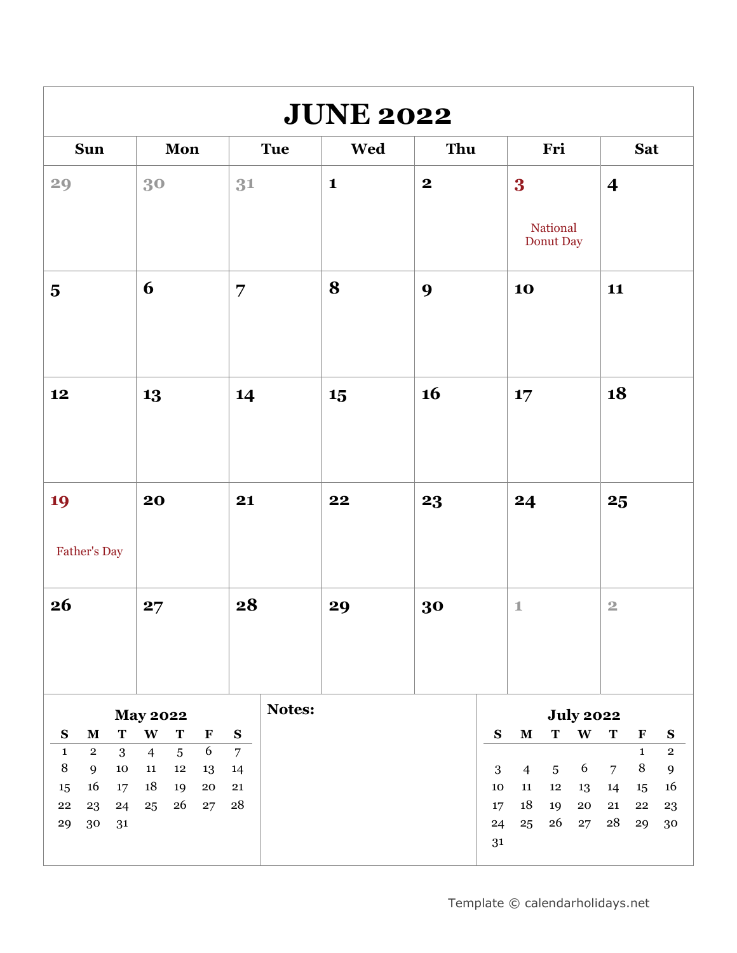| <b>JUNE 2022</b>                                                          |                                                                   |                             |              |             |                |                                   |                      |                         |                                                         |  |  |  |
|---------------------------------------------------------------------------|-------------------------------------------------------------------|-----------------------------|--------------|-------------|----------------|-----------------------------------|----------------------|-------------------------|---------------------------------------------------------|--|--|--|
| <b>Sun</b>                                                                | Mon                                                               | <b>Tue</b>                  | <b>Wed</b>   | Thu         |                | Fri                               |                      |                         | Sat                                                     |  |  |  |
| 29                                                                        | 30                                                                | 31                          | $\mathbf{1}$ | $\mathbf 2$ |                | $\bf{3}$<br>National<br>Donut Day |                      | $\overline{\mathbf{4}}$ |                                                         |  |  |  |
| $\overline{\mathbf{5}}$                                                   | 6                                                                 | $\overline{7}$              | 8            | 9           |                | 10                                |                      | 11                      |                                                         |  |  |  |
| 12                                                                        | 13                                                                | 14                          | 15           | 16          |                | 17                                |                      | 18                      |                                                         |  |  |  |
| 19<br>Father's Day                                                        | 20                                                                | 21                          | 22           | 23          |                | 24                                |                      | $25\phantom{.}$         |                                                         |  |  |  |
| 26                                                                        | 27                                                                | 28                          | 29           | 30          |                | $\mathbf 1$                       |                      | $\overline{\mathbf{2}}$ |                                                         |  |  |  |
|                                                                           | <b>May 2022</b>                                                   | Notes:                      |              |             |                |                                   | <b>July 2022</b>     |                         |                                                         |  |  |  |
| ${\bf S}$<br>${\bf T}$<br>$\mathbf M$<br>$\mathbf 1$<br>$\mathbf{2}$<br>3 | $\mathbf{W}$<br>$\mathbf T$<br>$\mathbf F$<br>6<br>$\overline{5}$ | ${\bf S}$<br>$\overline{7}$ |              |             | ${\bf S}$      | $\mathbf M$<br>${\bf T}$          | $\mathbf{W}$         | $\mathbf T$             | $\mathbf F$<br>${\bf S}$<br>$\mathbf 1$<br>$\mathbf{2}$ |  |  |  |
| $\, 8$<br>9<br>$10\,$                                                     | $\overline{4}$<br>${\bf 11}$<br>$12\,$<br>13                      | 14                          |              |             | $\overline{3}$ | $\overline{4}$<br>$\overline{5}$  | 6                    | $\overline{7}$          | $\, 8$<br>$\boldsymbol{9}$                              |  |  |  |
| 16<br>15<br>17                                                            | $18\,$<br>19<br>${\bf 20}$                                        | 21                          |              |             | 10             | ${\bf 11}$<br>$\bf{12}$           | 13                   | 14                      | 16<br>15                                                |  |  |  |
| ${\bf 22}$<br>23<br>24<br>30<br>29<br>31                                  | 26<br>25<br>27                                                    | ${\bf 28}$                  |              |             | 17<br>24<br>31 | 18<br>19<br>26<br>25              | ${\bf 20}$<br>$27\,$ | 21<br>28                | $22\,$<br>$\bf{^{23}}$<br>29<br>$30\,$                  |  |  |  |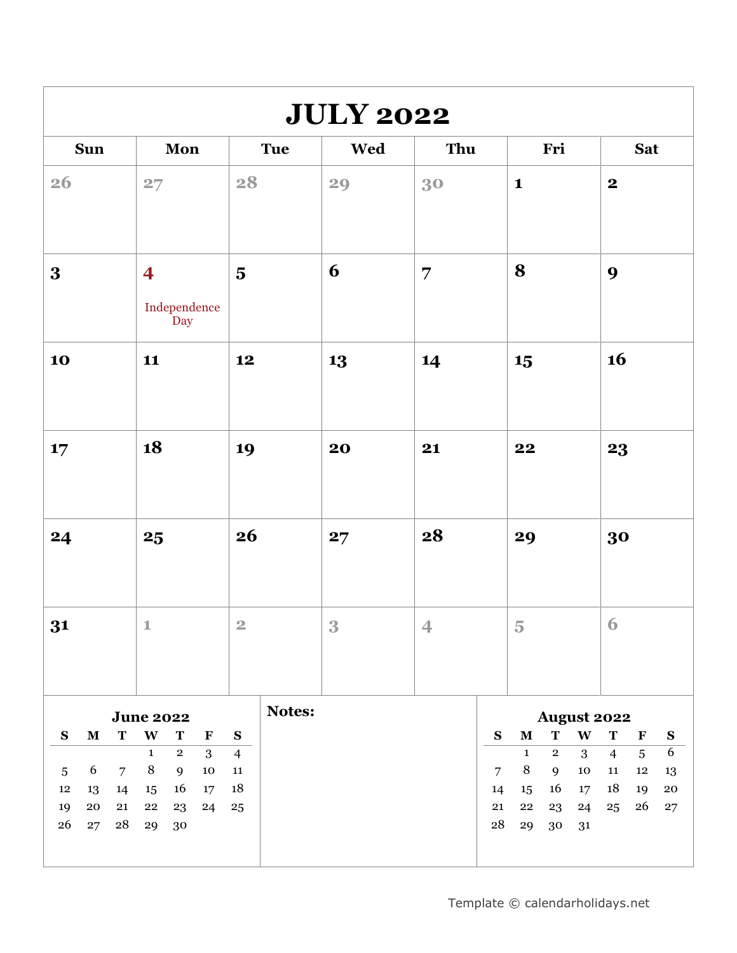| <b>JULY 2022</b>                                      |                                                                                    |                              |                                       |     |           |                   |                   |              |                              |                          |            |  |  |
|-------------------------------------------------------|------------------------------------------------------------------------------------|------------------------------|---------------------------------------|-----|-----------|-------------------|-------------------|--------------|------------------------------|--------------------------|------------|--|--|
| <b>Sun</b>                                            | Mon                                                                                | <b>Tue</b>                   | <b>Wed</b>                            | Thu |           |                   | Fri               |              |                              | Sat                      |            |  |  |
| 26                                                    | 27                                                                                 | 28                           | 29                                    | 30  |           | $\mathbf{1}$      |                   |              | $\mathbf{2}$                 |                          |            |  |  |
| 3                                                     | $\overline{\mathbf{4}}$<br>$\label{thm:independence} \textbf{Independence}$<br>Day | $\overline{\mathbf{5}}$      | 6                                     | 7   |           | 8                 |                   |              | 9                            |                          |            |  |  |
| 10                                                    | 11                                                                                 | 12                           | 13                                    | 14  |           | 15                |                   |              | 16                           |                          |            |  |  |
| 17                                                    | 18                                                                                 | 19                           | 20                                    | 21  |           | 22                |                   |              | 23                           |                          |            |  |  |
| 24                                                    | 25                                                                                 | 26                           | 27                                    | 28  | 29        |                   |                   |              | 30                           |                          |            |  |  |
| 31                                                    | $1\,$                                                                              | $\overline{2}$               | 3<br>$\overline{4}$<br>$\overline{5}$ |     |           | 6                 |                   |              |                              |                          |            |  |  |
|                                                       | <b>June 2022</b>                                                                   | Notes:                       |                                       |     |           |                   |                   |              | <b>August 2022</b>           |                          |            |  |  |
| ${\bf S}$<br>$\mathbf M$<br>T                         | $\mathbf{W}$<br>$\mathbf T$<br>$\mathbf F$                                         | ${\bf S}$                    |                                       |     | ${\bf S}$ | $\mathbf M$       | $\mathbf T$       | $\mathbf{W}$ | $\mathbf T$                  | $\mathbf F$              | ${\bf S}$  |  |  |
| $\boldsymbol{6}$<br>$\overline{7}$<br>$5\overline{)}$ | $\overline{2}$<br>3<br>$\mathbf{1}$<br>$\, 8$<br>9<br>$10\,$                       | $\overline{4}$<br>${\bf 11}$ |                                       |     | 7         | $\mathbf{1}$<br>8 | $\mathbf{2}$<br>9 | 3<br>$10\,$  | $\overline{4}$<br>${\bf 11}$ | $\overline{5}$<br>$12\,$ | 6<br>13    |  |  |
| $12\,$<br>13<br>14                                    | 16<br>15<br>17                                                                     | $18\,$                       |                                       |     | 14        | 15                | 16                | 17           | 18                           | 19                       | ${\bf 20}$ |  |  |
| 19<br>20<br>21                                        | ${\bf 22}$<br>23<br>24                                                             | 25                           |                                       |     | 21        | 22                | 23                | 24           | 25                           | 26                       | $27\,$     |  |  |
| 26<br>28<br>27                                        | 29<br>30                                                                           |                              |                                       |     | 28        | 29                | 30                | 31           |                              |                          |            |  |  |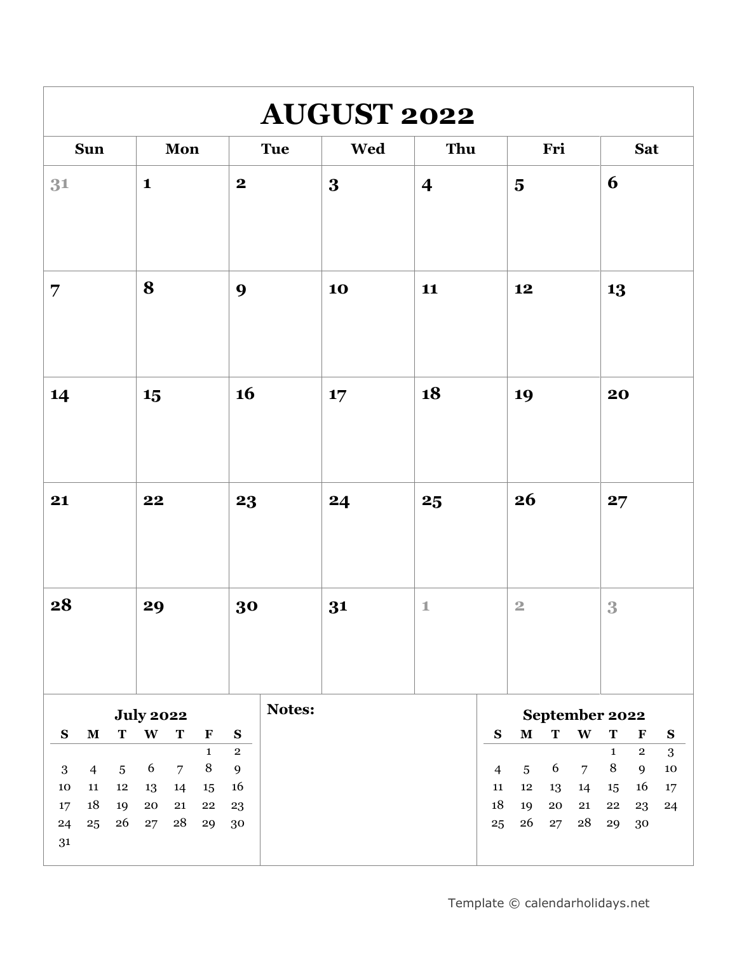| <b>AUGUST 2022</b>                                                  |                                            |                    |            |                         |                              |                             |             |                      |                        |                |                  |  |  |
|---------------------------------------------------------------------|--------------------------------------------|--------------------|------------|-------------------------|------------------------------|-----------------------------|-------------|----------------------|------------------------|----------------|------------------|--|--|
| <b>Sun</b>                                                          | Mon                                        | <b>Tue</b>         | <b>Wed</b> | Thu                     |                              |                             | Fri         |                      |                        | <b>Sat</b>     |                  |  |  |
| 31                                                                  | $\mathbf{1}$                               | $\mathbf{2}$       | 3          | $\overline{\mathbf{4}}$ |                              | $\overline{\mathbf{5}}$     |             |                      | 6                      |                |                  |  |  |
| $\overline{7}$                                                      | 8                                          | 9                  | 10         | 11                      |                              | 12                          |             |                      | 13                     |                |                  |  |  |
| 14                                                                  | 15                                         | 16                 | 17         | 18                      |                              | 19                          |             |                      | 20                     |                |                  |  |  |
| 21                                                                  | 22                                         | 23                 | 24         | 25                      |                              | 26                          |             |                      | 27                     |                |                  |  |  |
| 28                                                                  | 29                                         | 30                 | 31         | $1\hskip-3.5pt1$        |                              | $\overline{2}$              |             |                      | 3                      |                |                  |  |  |
|                                                                     | <b>July 2022</b>                           | Notes:             |            |                         |                              |                             |             | September 2022       |                        |                |                  |  |  |
| ${\bf S}$<br>$\mathbf M$<br>${\bf T}$                               | $\mathbf{W}$<br>$\mathbf T$<br>$\mathbf F$ | ${\bf S}$          |            |                         | ${\bf S}$                    | $\mathbf M$                 | $\mathbf T$ | $\mathbf{W}$         | $\mathbf T$            | $\mathbf F$    | ${\bf S}$        |  |  |
|                                                                     | $\mathbf{1}$<br>$\,8\,$                    | $\mathbf{2}$       |            |                         |                              |                             |             |                      | $\mathbf{1}$<br>$\, 8$ | $\overline{2}$ | $\mathbf{3}$     |  |  |
| $\overline{4}$<br>$\overline{5}$<br>3<br>${\bf 11}$<br>$12\,$<br>10 | 6<br>$\overline{7}$<br>14<br>13<br>15      | $\mathbf{9}$<br>16 |            |                         | $\overline{4}$<br>${\bf 11}$ | $\overline{5}$<br>$\bf{12}$ | 6<br>13     | $\overline{7}$<br>14 | 15                     | 9<br>16        | ${\bf 10}$<br>17 |  |  |
| $18\,$<br>19<br>$17\,$                                              | ${\bf 20}$<br>${\bf 21}$<br>22             | $\bf{^{23}}$       |            |                         | 18                           | 19                          | ${\bf 20}$  | 21                   | ${\bf 22}$             | 23             | 24               |  |  |
| 26<br>24<br>25                                                      | ${\bf 28}$<br>27<br>29                     | 30                 |            |                         | 25                           | 26                          | 27          | 28                   | 29                     | 30             |                  |  |  |
| 31                                                                  |                                            |                    |            |                         |                              |                             |             |                      |                        |                |                  |  |  |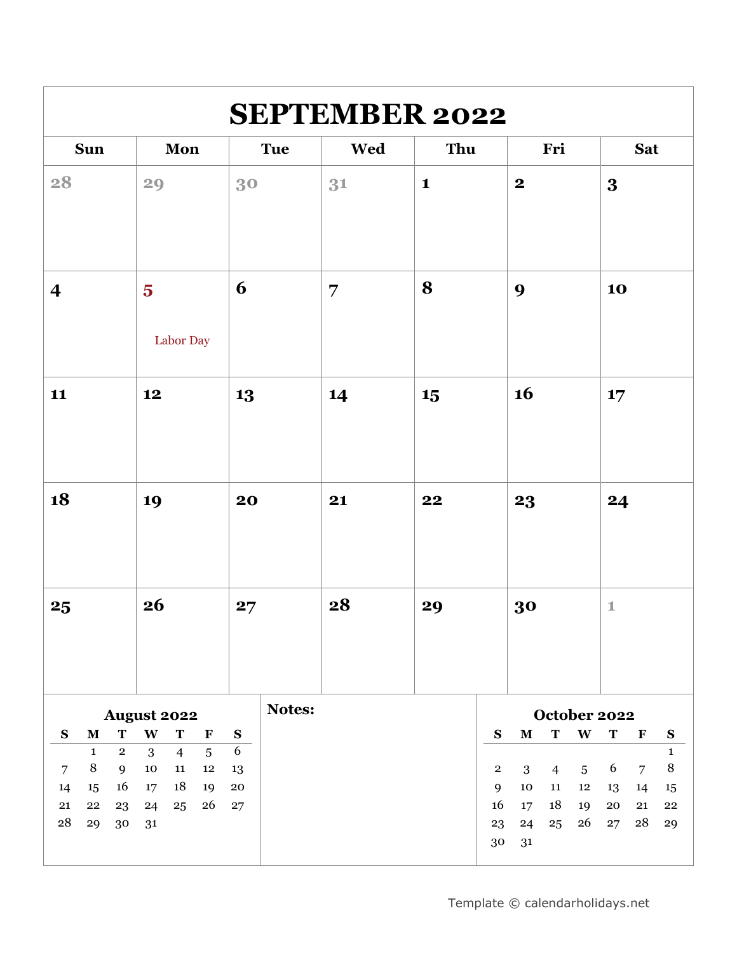|                         |              |                                            |              |                    |             |                  |                | <b>SEPTEMBER 2022</b> |              |                             |             |                              |              |               |                      |                  |
|-------------------------|--------------|--------------------------------------------|--------------|--------------------|-------------|------------------|----------------|-----------------------|--------------|-----------------------------|-------------|------------------------------|--------------|---------------|----------------------|------------------|
|                         | <b>Sun</b>   |                                            |              | Mon                |             |                  | <b>Tue</b>     | <b>Wed</b>            | Thu          |                             |             | Fri                          |              |               | <b>Sat</b>           |                  |
| 28                      |              |                                            | 29           |                    |             | 30               |                | 31                    | $\mathbf{1}$ |                             | $\mathbf 2$ |                              |              | 3             |                      |                  |
| $\overline{\mathbf{4}}$ |              | $\overline{\mathbf{5}}$<br>Labor Day<br>12 |              |                    | 6           |                  | $\overline{7}$ | 8                     |              | 9                           |             |                              | 10           |               |                      |                  |
| 11                      |              |                                            |              | 13                 |             | 14               | 15             |                       | 16           |                             |             | 17                           |              |               |                      |                  |
| 18                      |              |                                            | 19           |                    |             | 20               |                | 21                    | 22           |                             | 23          |                              |              | 24            |                      |                  |
| 25                      |              |                                            | 26           |                    |             | 27               |                | 28                    | 29           |                             | 30          |                              |              | $\mathbbm{1}$ |                      |                  |
|                         |              |                                            |              | <b>August 2022</b> |             |                  | <b>Notes:</b>  |                       |              |                             |             |                              | October 2022 |               |                      |                  |
| $\mathbf{s}$            | $\mathbf M$  | T                                          | $\mathbf{W}$ | $\mathbf T$        | $\mathbf F$ | ${\bf S}$        |                |                       |              | $\bf S$                     | $\mathbf M$ | T                            | W            | $\mathbf T$   | $\mathbf{F}$         | ${\bf S}$        |
|                         | $\mathbf{1}$ | $\overline{2}$                             | 3            | $\overline{4}$     | $\sqrt{5}$  | 6                |                |                       |              |                             |             |                              |              |               |                      | $\mathbf{1}$     |
| $\overline{7}$<br>14    | $\, 8$<br>15 | 9<br>16                                    | $10\,$<br>17 | 11<br>18           | 12<br>19    | 13<br>${\bf 20}$ |                |                       |              | $\mathbf 2$<br>$\mathbf{9}$ | 3<br>10     | $\overline{4}$<br>${\bf 11}$ | 5<br>$12\,$  | 6<br>13       | $\overline{7}$<br>14 | $\, 8$<br>$15\,$ |
| 21                      | 22           | 23                                         | 24           | 25                 | 26          | $27\,$           |                |                       |              | 16                          | 17          | 18                           | 19           | ${\bf 20}$    | 21                   | ${\bf 22}$       |
| 28                      | 29           | 30                                         | 31           |                    |             |                  |                |                       |              | 23<br>30                    | 24<br>31    | 25                           | 26           | 27            | ${\bf 28}$           | 29               |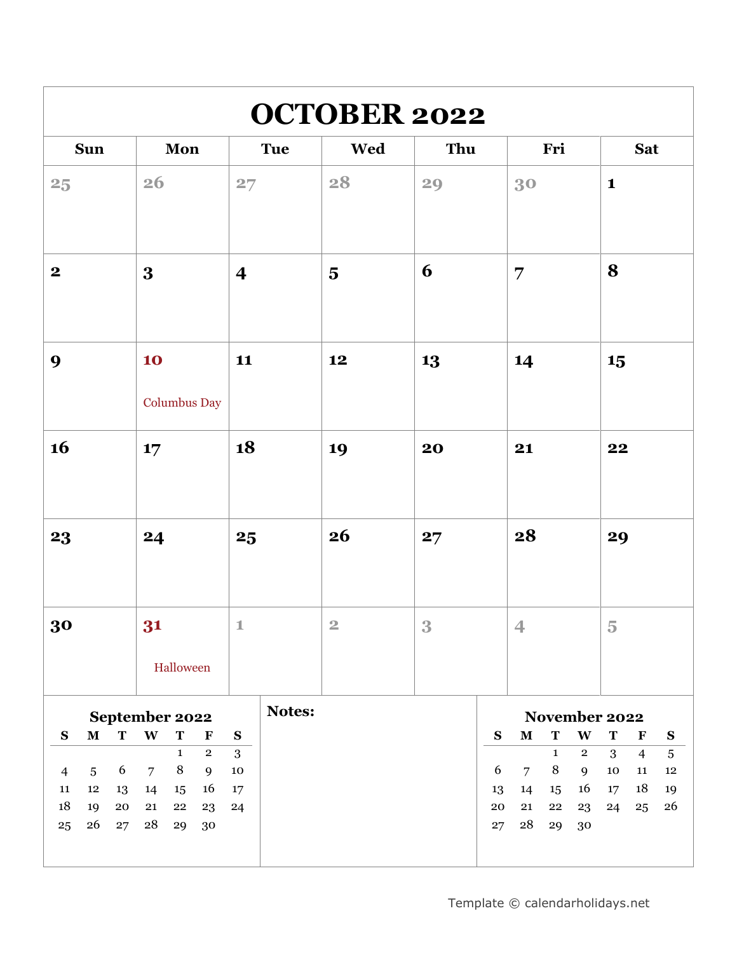| <b>OCTOBER 2022</b>                          |                                                               |                         |                         |                  |                  |                |              |                               |                |                |              |  |  |
|----------------------------------------------|---------------------------------------------------------------|-------------------------|-------------------------|------------------|------------------|----------------|--------------|-------------------------------|----------------|----------------|--------------|--|--|
| <b>Sun</b>                                   | Mon                                                           | <b>Tue</b>              | <b>Wed</b>              | Thu              |                  |                | Fri          |                               |                | <b>Sat</b>     |              |  |  |
| 25                                           | 26                                                            | 27                      | 28                      | 29               |                  | 30             |              |                               | $\mathbf{1}$   |                |              |  |  |
| $\mathbf{2}$                                 | 3                                                             | $\overline{\mathbf{4}}$ | $\overline{\mathbf{5}}$ | 6                |                  | 7              |              |                               | 8              |                |              |  |  |
| 9                                            | 10                                                            | 11                      | 12                      | 13               |                  | 14             |              |                               | 15             |                |              |  |  |
|                                              | Columbus Day                                                  |                         |                         |                  |                  |                |              |                               |                |                |              |  |  |
| 16                                           | 17                                                            | 18                      | 19                      | 20               |                  | 21             |              |                               | 22             |                |              |  |  |
| 23                                           | 24                                                            | 25                      | 26                      | 27               |                  | 28             |              |                               | 29             |                |              |  |  |
| 30                                           | 31                                                            | $1\,$                   | $\overline{2}$          | $\boldsymbol{3}$ |                  | $\overline{4}$ |              |                               | $\overline{5}$ |                |              |  |  |
|                                              | Halloween                                                     | Notes:                  |                         |                  |                  |                |              |                               |                |                |              |  |  |
| $\mathbf M$<br>T<br>$\mathbf{s}$             | September 2022<br>$\mathbf{W}$<br>$\mathbf T$<br>$\mathbf{F}$ | $\mathbf{s}$            |                         |                  | $\mathbf{S}$     | ${\bf M}$      | $\mathbf T$  | November 2022<br>$\mathbf{W}$ | T              | $\mathbf F$    | $\mathbf{s}$ |  |  |
|                                              | $\mathbf{1}$<br>$\mathbf{2}$                                  | $\overline{3}$          |                         |                  |                  |                | $\mathbf{1}$ | $\overline{2}$                | 3              | $\overline{4}$ | $\sqrt{5}$   |  |  |
| 6<br>$\overline{5}$<br>$\overline{4}$        | $\, 8$<br>$\overline{7}$<br>9                                 | $10\,$                  |                         |                  | $\boldsymbol{6}$ | $\overline{7}$ | $8\,$        | 9                             | 10             | ${\bf 11}$     | 12           |  |  |
| $12\,$<br>$11\,$<br>13<br>$18\,$<br>19<br>20 | 14<br>16<br>15<br>${\bf 22}$<br>21<br>23                      | 17<br>24                |                         |                  | 13<br>${\bf 20}$ | 14<br>21       | $15\,$<br>22 | 16<br>23                      | 17<br>24       | 18<br>25       | 19<br>26     |  |  |
| 26<br>25<br>27                               | 28<br>29<br>30                                                |                         |                         |                  | 27               | ${\bf 28}$     | 29           | 30                            |                |                |              |  |  |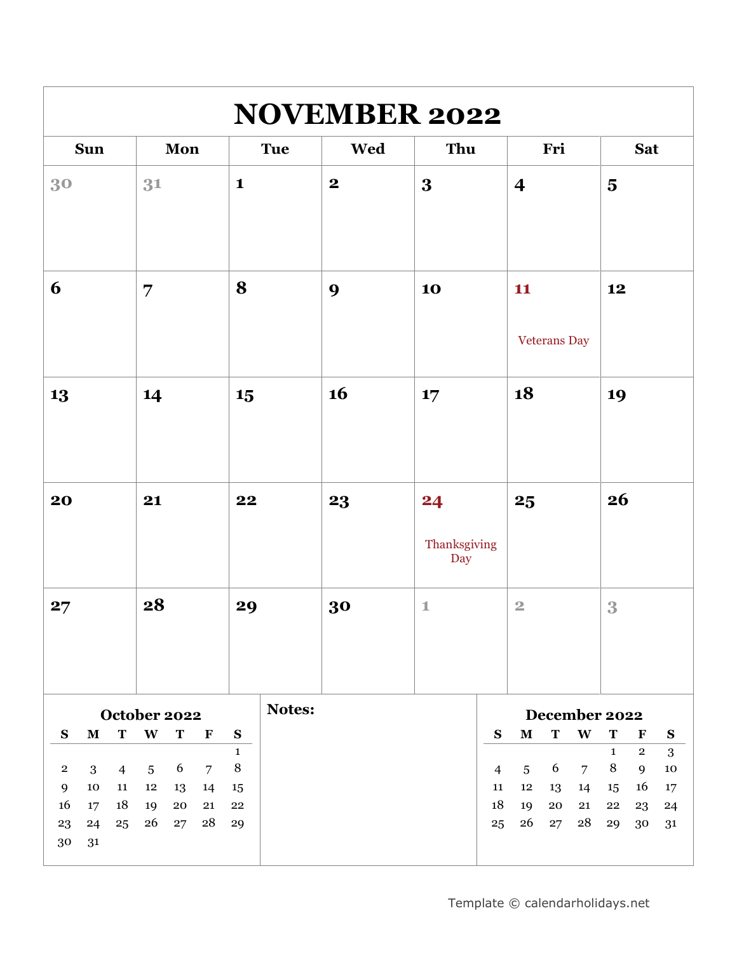|          | <b>NOVEMBER 2022</b> |                |                 |             |                |                           |            |                  |             |                    |                  |              |                |                         |                             |                |
|----------|----------------------|----------------|-----------------|-------------|----------------|---------------------------|------------|------------------|-------------|--------------------|------------------|--------------|----------------|-------------------------|-----------------------------|----------------|
|          | <b>Sun</b>           |                |                 | Mon         |                |                           | <b>Tue</b> | <b>Wed</b>       | Thu         |                    |                  | Fri          |                |                         | <b>Sat</b>                  |                |
| 30       |                      |                | 31              |             |                | $\mathbf{1}$              |            | $\boldsymbol{2}$ | 3           |                    | $\boldsymbol{4}$ |              |                | $\overline{\mathbf{5}}$ |                             |                |
| 6        |                      |                | $\overline{7}$  |             |                | 8                         |            | 9                | 10          |                    | 11               | Veterans Day |                | 12                      |                             |                |
| 13       |                      |                | 14              |             |                | 15                        |            | 16               | 17          |                    | 18               |              | 19             |                         |                             |                |
| 20       |                      |                | 21              |             |                | 22                        |            | 23               | 24<br>Day   | 25<br>Thanksgiving |                  |              | 26             |                         |                             |                |
| 27       |                      |                | 28              |             |                | 29                        |            | 30               | $\mathbf 1$ |                    | $\overline{2}$   |              |                | 3                       |                             |                |
|          |                      |                | October 2022    |             |                |                           | Notes:     |                  |             |                    |                  |              | December 2022  |                         |                             |                |
| S        | $\mathbf M$          | ${\bf T}$      | W               | $\mathbf T$ | $\mathbf{F}$   | ${\bf S}$<br>$\mathbf{1}$ |            |                  |             | S                  | $\mathbf M$      | $\mathbf T$  | W              | T<br>$\mathbf{1}$       | $\mathbf F$<br>$\mathbf{2}$ | ${\bf S}$<br>3 |
| $\,2$    | 3                    | $\overline{4}$ | $5\overline{)}$ | 6           | $\overline{7}$ | $\, 8$                    |            |                  |             | $\overline{4}$     | 5                | 6            | $\overline{7}$ | 8                       | 9                           | $10\,$         |
| 9        | 10                   | 11             | $12\,$          | 13          | 14             | 15                        |            |                  |             | $11\,$             | 12               | 13           | 14             | 15                      | 16                          | 17             |
| 16       | 17                   | 18             | 19              | 20          | 21             | 22                        |            |                  |             | 18                 | 19               | 20           | 21             | ${\bf 22}$              | 23                          | 24             |
| 23<br>30 | 24<br>31             | 25             | 26              | 27          | 28             | 29                        |            |                  |             | 25                 | 26               | 27           | 28             | 29                      | 30                          | 31             |